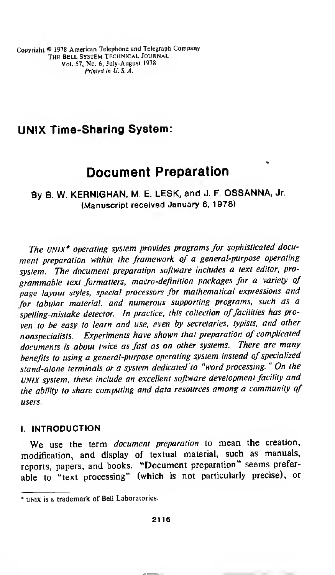Copyright © <sup>1978</sup> American Telephone and Telegraph Company THE BELL SYSTEM TECHNICAL JOURNAL Vol. 57, No. 6, July-August 1978 Printed in U.S.A.

## UNIX Time-Sharing System:

# Document Preparation

By B. W. KERNIGHAN, M. E. LESK, and J. F. OSSANNA, Jr. (Manuscript received January 6, 1978)

The UNIX\* operating system provides programs for sophisticated document preparation within the framework of a general-purpose operating system. The document preparation software includes a text editor, programmable text formatters, macro-definition packages for a variety of page layout styles, special processors for mathematical expressions and for tabular material, and numerous supporting programs, such as <sup>a</sup> spelling-mistake detector. In practice, this collection of facilities has proven to be easy to learn and use, even by secretaries, typists, and other nonspecialists. Experiments have shown that preparation of complicated documents is about twice as fast as on other systems. There are many benefits to using a general-purpose operating system instead of specialized stand-alone terminals or a system dedicated to "word processing." On the UNIX system, these include an excellent software development facility and the ability to share computing and data resources among <sup>a</sup> community of users.

## I. INTRODUCTION

We use the term *document preparation* to mean the creation, modification, and display of textual material, such as manuals, reports, papers, and books. "Document preparation" seems preferable to "text processing" (which is not particularly precise), or

<sup>\*</sup> unix is a trademark of Bell Laboratories.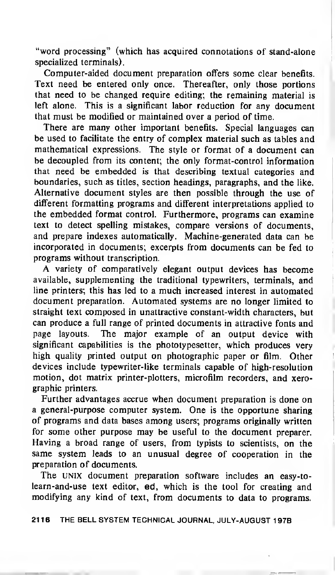"word processing" (which has acquired connotations of stand-alone specialized terminals).

Computer-aided document preparation offers some clear benefits. Text need be entered only once. Thereafter, only those portions that need to be changed require editing; the remaining material is left alone. This is a significant labor reduction for any document that must be modified or maintained over a period of time.

There are many other important benefits. Special languages can be used to facilitate the entry of complex material such as tables and mathematical expressions. The style or format of <sup>a</sup> document can be decoupled from its content; the only format-control information that need be embedded is that describing textual categories and boundaries, such as titles, section headings, paragraphs, and the like. Alternative document styles are then possible through the use of different formatting programs and different interpretations applied to the embedded format control. Furthermore, programs can examine text to detect spelling mistakes, compare versions of documents, and prepare indexes automatically. Machine-generated data can be incorporated in documents; excerpts from documents can be fed to programs without transcription.

A variety of comparatively elegant output devices has become available, supplementing the traditional typewriters, terminals, and line printers; this has led to <sup>a</sup> much increased interest in automated document preparation. Automated systems are no longer limited to straight text composed in unattractive constant-width characters, but can produce a full range of printed documents in attractive fonts and page layouts. The major example of an output device with significant capabilities is the phototypesetter, which produces very high quality printed output on photographic paper or film. Other devices include typewriter-like terminals capable of high-resolution motion, dot matrix printer-plotters, microfilm recorders, and xerographic printers.

Further advantages accrue when document preparation is done on <sup>a</sup> general-purpose computer system. One is the opportune sharing of programs and data bases among users; programs originally written for some other purpose may be useful to the document preparer. Having <sup>a</sup> broad range of users, from typists to scientists, on the same system leads to an unusual degree of cooperation in the preparation of documents.

The UNIX document preparation software includes an easy-tolearn-and-use text editor, ed, which is the tool for creating and modifying any kind of text, from documents to data to programs.

2116 THE BELL SYSTEM TECHNICAL JOURNAL, JULY-AUGUST 197B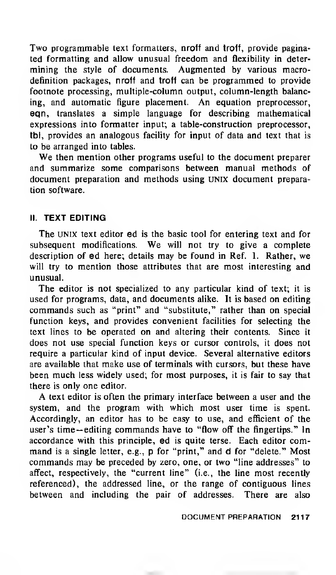Two programmable text formatters, nroff and troff, provide paginated formatting and allow unusual freedom and flexibility in determining the style of documents. Augmented by various macrodefinition packages, nroff and troff can be programmed to provide footnote processing, multiple-column output, column-length balancing, and automatic figure placement. An equation preprocessor, eqn, translates a simple language for describing mathematical expressions into formatter input; a table-construction preprocessor, tbl, provides an analogous facility for input of data and text that is to be arranged into tables.

We then mention other programs useful to the document preparer and summarize some comparisons between manual methods of document preparation and methods using UNIX document preparation software.

## II. TEXT EDITING

The UNIX text editor ed is the basic tool for entering text and for subsequent modifications. We will not try to give <sup>a</sup> complete description of ed here; details may be found in Ref. 1. Rather, we will try to mention those attributes that are most interesting and unusual.

The editor is not specialized to any particular kind of text; it is used for programs, data, and documents alike. It is based on editing commands such as "print" and "substitute," rather than on special function keys, and provides convenient facilities for selecting the text lines to be operated on and altering their contents. Since it does not use special function keys or cursor controls, it does not require a particular kind of input device. Several alternative editors are available that make use of terminals with cursors, but these have been much less widely used; for most purposes, it is fair to say that there is only one editor.

A text editor is often the primary interface between <sup>a</sup> user and the system, and the program with which most user time is spent. Accordingly, an editor has to be easy to use, and efficient of the user's time— editing commands have to "flow off the fingertips." In accordance with this principle, ed is quite terse. Each editor com mand is <sup>a</sup> single letter, e.g., p for "print," and d for "delete." Most commands may be preceded by zero, one, or two "line addresses" to affect, respectively, the "current line" (i.e., the line most recently referenced), the addressed line, or the range of contiguous lines between and including the pair of addresses. There are also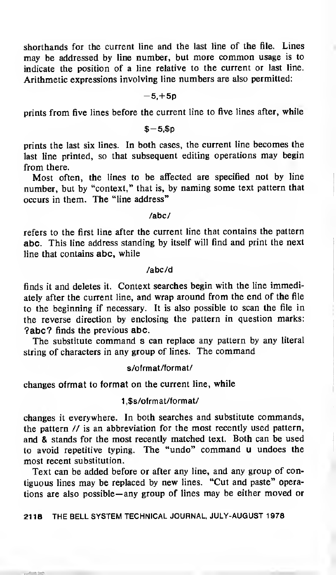shorthands for the current line and the last line of the file. Lines may be addressed by line number, but more common usage is to indicate the position of a line relative to the current or last line. Arithmetic expressions involving line numbers are also permitted:

#### $-5, +5p$

prints from five lines before the current line to five lines after, while

#### $$-5.5p$

prints the last six lines. In both cases, the current line becomes the last line printed, so that subsequent editing operations may begin from there.

Most often, the lines to be affected are specified not by line number, but by "context," that is, by naming some text pattern that occurs in them. The "line address"

## /abc/

refers to the first line after the current line that contains the pattern abc. This line address standing by itself will find and print the next line that contains abc, while

#### /abc/d

finds it and deletes it. Context searches begin with the line immediately after the current line, and wrap around from the end of the file to the beginning if necessary. It is also possible to scan the file in the reverse direction by enclosing the pattern in question marks: ?abc? finds the previous abc.

The substitute command s can replace any pattern by any literal string of characters in any group of lines. The command

## s/ofrmat/format/

changes ofrmat to format on the current line, while

## <sup>1</sup> ,\$s/ofrmat/format/

changes it everywhere. In both searches and substitute commands, the pattern // is an abbreviation for the most recently used pattern, and & stands for the most recently matched text. Both can be used to avoid repetitive typing. The "undo" command <sup>u</sup> undoes the most recent substitution.

Text can be added before or after any line, and any group of contiguous lines may be replaced by new lines. "Cut and paste" operations are also possible— any group of lines may be either moved or

## 2118 THE BELL SYSTEM TECHNICAL JOURNAL, JULY-AUGUST 1978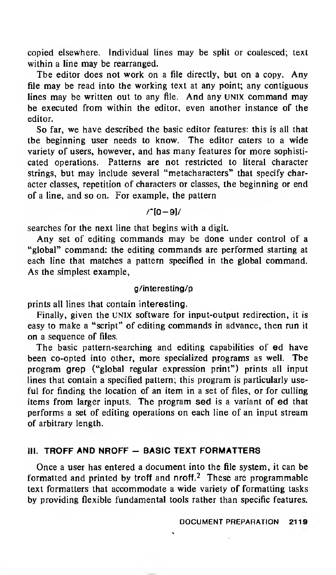copied elsewhere. Individual lines may be split or coalesced; text within <sup>a</sup> line may be rearranged.

The editor does not work on <sup>a</sup> file directly, but on <sup>a</sup> copy. Any file may be read into the working text at any point; any contiguous lines may be written out to any file. And any UNIX command may be executed from within the editor, even another instance of the editor.

So far, we have described the basic editor features: this is all that the beginning user needs to know. The editor caters to a wide variety of users, however, and has many features for more sophisticated operations. Patterns are not restricted to literal character strings, but may include several "metacharacters" that specify character classes, repetition of characters or classes, the beginning or end of a line, and so on. For example, the pattern

/"[0-9]/

searches for the next line that begins with a digit.

Any set of editing commands may be done under control of <sup>a</sup> "global" command: the editing commands are performed starting at each line that matches a pattern specified in the global command. As the simplest example,

#### g/interesting/p

prints all lines that contain interesting.

Finally, given the UNIX software for input-output redirection, it is easy to make <sup>a</sup> "script" of editing commands in advance, then run it on a sequence of files.

The basic pattern-searching and editing capabilities of ed have been co-opted into other, more specialized programs as well. The program grep ("global regular expression print") prints all input lines that contain a specified pattern; this program is particularly useful for finding the location of an item in a set of files, or for culling items from larger inputs. The program sed is a variant of ed that performs a set of editing operations on each line of an input stream of arbitrary length.

## **III. TROFF AND NROFF - BASIC TEXT FORMATTERS**

Once a user has entered a document into the file system, it can be formatted and printed by troff and  $n$ roff.<sup>2</sup> These are programmable text formatters that accommodate a wide variety of formatting tasks by providing flexible fundamental tools rather than specific features.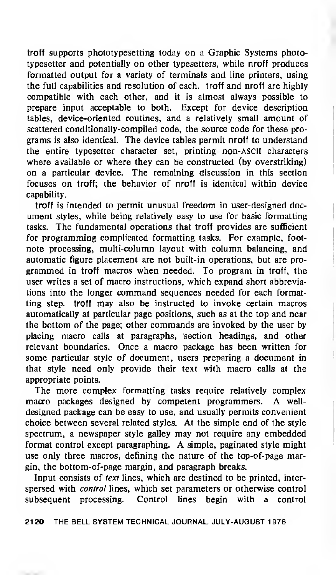troff supports phototypesetting today on a Graphic Systems phototypesetter and potentially on other typesetters, while nroff produces formatted output for a variety of terminals and line printers, using the full capabilities and resolution of each, troff and nroff are highly compatible with each other, and it is almost always possible to prepare input acceptable to both. Except for device description tables, device-oriented routines, and a relatively small amount of scattered conditionally-compiled code, the source code for these programs is also identical. The device tables permit nroff to understand the entire typesetter character set, printing non-ASCII characters where available or where they can be constructed (by overstriking) on a particular device. The remaining discussion in this section focuses on troff; the behavior of nroff is identical within device capability.

troff is intended to permit unusual freedom in user-designed document styles, while being relatively easy to use for basic formatting tasks. The fundamental operations that troff provides are sufficient for programming complicated formatting tasks. For example, footnote processing, multi-column layout with column balancing, and automatic figure placement are not built-in operations, but are programmed in troff macros when needed. To program in troff, the user writes a set of macro instructions, which expand short abbreviations into the longer command sequences needed for each formatting step, troff may also be instructed to invoke certain macros automatically at particular page positions, such as at the top and near the bottom of the page; other commands are invoked by the user by placing macro calls at paragraphs, section headings, and other relevant boundaries. Once a macro package has been written for some particular style of document, users preparing <sup>a</sup> document in that style need only provide their text with macro calls at the appropriate points.

The more complex formatting tasks require relatively complex macro packages designed by competent programmers. A welldesigned package can be easy to use, and usually permits convenient choice between several related styles. At the simple end of the style spectrum, <sup>a</sup> newspaper style galley may not require any embedded format control except paragraphing. A simple, paginated style might use only three macros, defining the nature of the top-of-page margin, the bottom-of-page margin, and paragraph breaks.

Input consists of text lines, which are destined to be printed, interspersed with *control* lines, which set parameters or otherwise control subsequent processing. Control lines begin with a control

21 20 THE BELL SYSTEM TECHNICAL JOURNAL, JULY-AUGUST <sup>1</sup> 978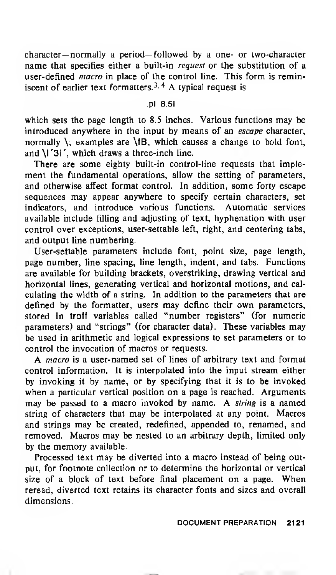character— normally a period— followed by a one- or two-character name that specifies either a built-in *request* or the substitution of a user-defined *macro* in place of the control line. This form is reminiscent of earlier text formatters.<sup>3, 4</sup> A typical request is

## .pi 8.5i

which sets the page length to 8.5 inches. Various functions may be introduced anywhere in the input by means of an escape character, normally \; examples are \fB, which causes a change to bold font, and \l '3i ', which draws a three-inch line.

There are some eighty built-in control-line requests that implement the fundamental operations, allow the setting of parameters, and otherwise affect format control. In addition, some forty escape sequences may appear anywhere to specify certain characters, set indicators, and introduce various functions. Automatic services available include filling and adjusting of text, hyphenation with user control over exceptions, user-settable left, right, and centering tabs, and output line numbering.

User-settable parameters include font, point size, page length, page number, line spacing, line length, indent, and tabs. Functions are available for building brackets, overstriking, drawing vertical and horizontal lines, generating vertical and horizontal motions, and calculating the width of a string. In addition to the parameters that are defined by the formatter, users may define their own parameters, stored in troff variables called "number registers" (for numeric parameters) and "strings" (for character data). These variables may be used in arithmetic and logical expressions to set parameters or to control the invocation of macros or requests.

A macro is <sup>a</sup> user-named set of lines of arbitrary text and format control information. It is interpolated into the input stream either by invoking it by name, or by specifying that it is to be invoked when <sup>a</sup> particular vertical position on <sup>a</sup> page is reached. Arguments may be passed to <sup>a</sup> macro invoked by name. A string is <sup>a</sup> named string of characters that may be interpolated at any point. Macros and strings may be created, redefined, appended to, renamed, and removed. Macros may be nested to an arbitrary depth, limited only by the memory available.

Processed text may be diverted into <sup>a</sup> macro instead of being output, for footnote collection or to determine the horizontal or vertical size of <sup>a</sup> block of text before final placement on <sup>a</sup> page. When reread, diverted text retains its character fonts and sizes and overall dimensions.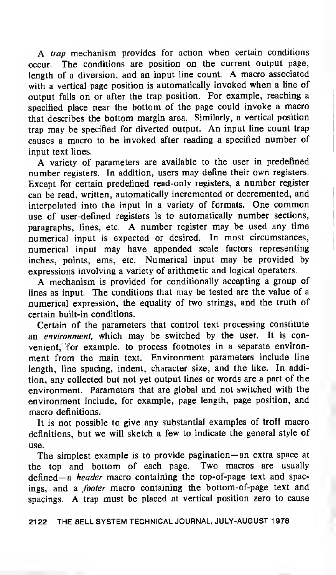A trap mechanism provides for action when certain conditions occur. The conditions are position on the current output page, length of <sup>a</sup> diversion, and an input line count. A macro associated with <sup>a</sup> vertical page position is automatically invoked when <sup>a</sup> line of output falls on or after the trap position. For example, reaching a specified place near the bottom of the page could invoke <sup>a</sup> macro that describes the bottom margin area. Similarly, a vertical position trap may be specified for diverted output. An input line count trap causes <sup>a</sup> macro to be invoked after reading <sup>a</sup> specified number of input text lines.

A variety of parameters are available to the user in predefined number registers. In addition, users may define their own registers. Except for certain predefined read-only registers, <sup>a</sup> number register can be read, written, automatically incremented or decremented, and interpolated into the input in <sup>a</sup> variety of formats. One common use of user-defined registers is to automatically number sections, paragraphs, lines, etc. A number register may be used any time numerical input is expected or desired. In most circumstances, numerical input may have appended scale factors representing inches, points, ems, etc. Numerical input may be provided by expressions involving a variety of arithmetic and logical operators.

A mechanism is provided for conditionally accepting <sup>a</sup> group of lines as input. The conditions that may be tested are the value of a numerical expression, the equality of two strings, and the truth of certain built-in conditions.

Certain of the parameters that control text processing constitute an environment, which may be switched by the user. It is convenient. for example, to process footnotes in a separate environment from the main text. Environment parameters include line length, line spacing, indent, character size, and the like. In addition, any collected but not yet output lines or words are a part of the environment. Parameters that are global and not switched with the environment include, for example, page length, page position, and macro definitions.

It is not possible to give any substantial examples of troff macro definitions, but we will sketch a few to indicate the general style of use.

The simplest example is to provide pagination— an extra space at the top and bottom of each page. Two macros are usually defined—a *header* macro containing the top-of-page text and spacings, and a footer macro containing the bottom-of-page text and spacings. A trap must be placed at vertical position zero to cause

<sup>21</sup> 22 THE BELL SYSTEM TECHNICAL JOURNAL, JULY-AUGUST <sup>1</sup> 978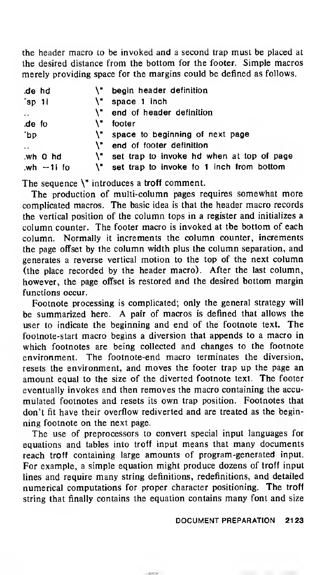the header macro to be invoked and a second trap must be placed at the desired distance from the bottom for the footer. Simple macros merely providing space for the margins could be defined as follows.

| de hd.               |            |     | \" begin header definition                   |
|----------------------|------------|-----|----------------------------------------------|
| 'sp 1i               |            |     | $\mathcal{N}$ space 1 inch                   |
| $\ddotsc$            |            |     | \" end of header definition                  |
| de fo.               |            | \"_ | footer                                       |
| 'bp                  |            |     | \" space to beginning of next page           |
| $\ddot{\phantom{0}}$ |            |     | \" end of footer definition                  |
|                      | wh 0 hd    |     | \" set trap to invoke hd when at top of page |
|                      | wh $-1$ fo |     | \" set trap to invoke fo 1 inch from bottom  |

The sequence  $\mathcal{N}$  introduces a troff comment.

The production of multi-column pages requires somewhat more complicated macros. The basic idea is that the header macro records the vertical position of the column tops in a register and initializes a column counter. The footer macro is invoked at the bottom of each column. Normally it increments the column counter, increments the page offset by the column width plus the column separation, and generates <sup>a</sup> reverse vertical motion to the top of the next column (the place recorded by the header macro). After the last column, however, the page offset is restored and the desired bottom margin functions occur.

Footnote processing is complicated; only the general strategy will be summarized here. A pair of macros is defined that allows the user to indicate the beginning and end of the footnote text. The footnote-start macro begins <sup>a</sup> diversion that appends to a macro in which footnotes are being collected and changes to the footnote environment. The footnote-end macro terminates the diversion, resets the environment, and moves the footer trap up the page an amount equal to the size of the diverted footnote text. The footer eventually invokes and then removes the macro containing the accumulated footnotes and resets its own trap position. Footnotes that don't fit have their overflow rediverted and are treated as the beginning footnote on the next page.

The use of preprocessors to convert special input languages for equations and tables into troff input means that many documents reach troff containing large amounts of program-generated input. For example, a simple equation might produce dozens of troff input lines and require many string definitions, redefinitions, and detailed numerical computations for proper character positioning. The troff string that finally contains the equation contains many font and size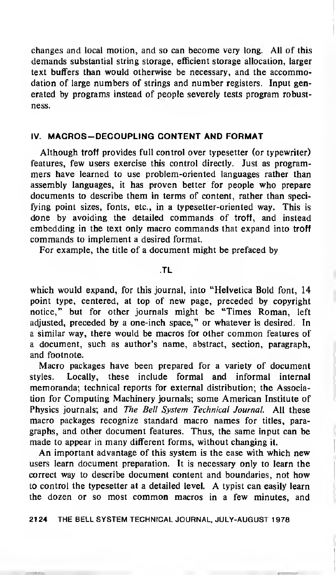changes and local motion, and so can become very long. All of this demands substantial string storage, efficient storage allocation, larger text buffers than would otherwise be necessary, and the accommodation of large numbers of strings and number registers. Input generated by programs instead of people severely tests program robustness.

## IV. MACROS-DECOUPLING CONTENT AND FORMAT

Although troff provides full control over typesetter (or typewriter) features, few users exercise this control directly. Just as programmers have learned to use problem-oriented languages rather than assembly languages, it has proven better for people who prepare documents to describe them in terms of content, rather than specifying point sizes, fonts, etc., in a typesetter-oriented way. This is done by avoiding the detailed commands of troff, and instead embedding in the text only macro commands that expand into troff commands to implement <sup>a</sup> desired format.

For example, the title of a document might be prefaced by

#### TL

which would expand, for this journal, into "Helvetica Bold font, 14 point type, centered, at top of new page, preceded by copyright notice," but for other journals might be "Times Roman, left adjusted, preceded by a one-inch space," or whatever is desired. In <sup>a</sup> similar way, there would be macros for other common features of <sup>a</sup> document, such as author's name, abstract, section, paragraph, and footnote.

Macro packages have been prepared for a variety of document styles. Locally, these include formal and informal internal memoranda; technical reports for external distribution; the Association for Computing Machinery journals; some American Institute of Physics journals; and The Bell System Technical Journal. All these macro packages recognize standard macro names for titles, paragraphs, and other document features. Thus, the same input can be made to appear in many different forms, without changing it.

An important advantage of this system is the ease with which new users learn document preparation. It is necessary only to learn the correct way to describe document content and boundaries, not how to control the typesetter at <sup>a</sup> detailed level. A typist can easily learn the dozen or so most common macros in <sup>a</sup> few minutes, and

21 24 THE BELL SYSTEM TECHNICAL JOURNAL, JULY-AUGUST <sup>1</sup> 978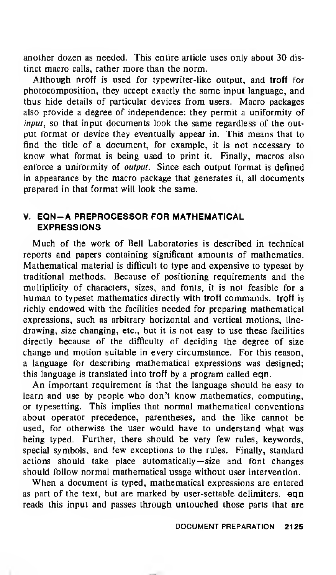another dozen as needed. This entire article uses only about 30 distinct macro calls, rather more than the norm.

Although nroff is used for typewriter-like output, and troff for photocomposition, they accept exactly the same input language, and thus hide details of particular devices from users. Macro packages also provide a degree of independence: they permit a uniformity of input, so that input documents look the same regardless of the output format or device they eventually appear in. This means that to find the title of a document, for example, it is not necessary to know what format is being used to print it. Finally, macros also enforce a uniformity of output. Since each output format is defined in appearance by the macro package that generates it, all documents prepared in that format will look the same.

## V. EQN-A PREPROCESSOR FOR MATHEMATICAL EXPRESSIONS

Much of the work of Bell Laboratories is described in technical reports and papers containing significant amounts of mathematics. Mathematical material is difficult to type and expensive to typeset by traditional methods. Because of positioning requirements and the multiplicity of characters, sizes, and fonts, it is not feasible for a human to typeset mathematics directly with troff commands, troff is richly endowed with the facilities needed for preparing mathematical expressions, such as arbitrary horizontal and vertical motions, linedrawing, size changing, etc., but it is not easy to use these facilities directly because of the difficulty of deciding the degree of size change and motion suitable in every circumstance. For this reason, a language for describing mathematical expressions was designed; this language is translated into troff by a program called eqn.

An important requirement is that the language should be easy to learn and use by people who don't know mathematics, computing, or typesetting. This implies that normal mathematical conventions about operator precedence, parentheses, and the like cannot be used, for otherwise the user would have to understand what was being typed. Further, there should be very few rules, keywords, special symbols, and few exceptions to the rules. Finally, standard actions should take place automatically— size and font changes should follow normal mathematical usage without user intervention.

When <sup>a</sup> document is typed, mathematical expressions are entered as part of the text, but are marked by user-settable delimiters. eqn reads this input and passes through untouched those parts that are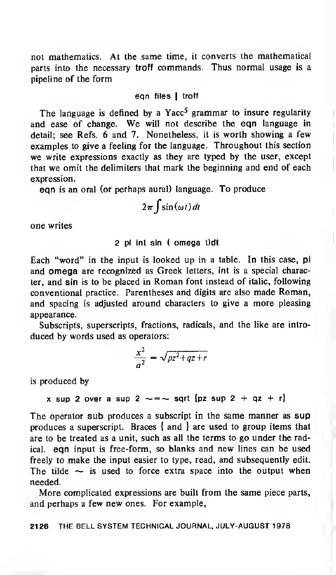not mathematics. At the same time, it converts the mathematical parts into the necessary troff commands. Thus normal usage is a pipeline of the form

## ean files I troff

The language is defined by a Yacc<sup>5</sup> grammar to insure regularity and ease of change. We will not describe the eqn language in detail; see Refs. 6 and 7. Nonetheless, it is worth showing a few examples to give a feeling for the language. Throughout this section we write expressions exactly as they are typed by the user, except that we omit the delimiters that mark the beginning and end of each expression.

eqn is an oral (or perhaps aural) language. To produce

$$
2\pi \int \sin(\omega t) dt
$$

one writes

## 2 pi int sin ( omega t)dt

Each "word" in the input is looked up in a table. In this case, pi and omega are recognized as Greek letters, int is <sup>a</sup> special character, and sin is to be placed in Roman font instead of italic, following conventional practice. Parentheses and digits are also made Roman, and spacing is adjusted around characters to give a more pleasing appearance.

Subscripts, superscripts, fractions, radicals, and the like are introduced by words used as operators:

$$
\frac{x^2}{a^2} = \sqrt{pz^2 + qz + r}
$$

is produced by

x sup 2 over a sup 2  $\sim =$   $\sim$  sqrt {pz sup 2 + qz + r}

The operator sub produces a subscript in the same manner as sup produces a superscript. Braces { and } are used to group items that are to be treated as a unit, such as all the terms to go under the radical, eqn input is free-form, so blanks and new lines can be used freely to make the input easier to type, read, and subsequently edit. The tilde  $\sim$  is used to force extra space into the output when needed.

More complicated expressions are built from the same piece parts, and perhaps <sup>a</sup> few new ones. For example,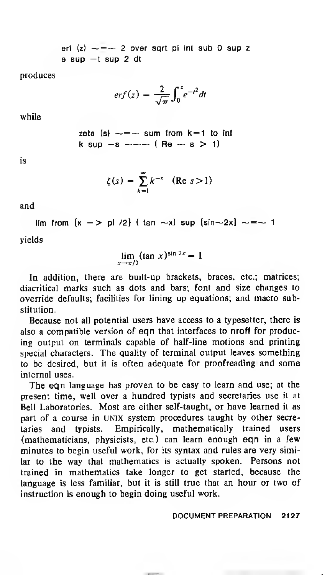erf  $(z) \sim = \sim 2$  over sqrt pi int sub 0 sup z  $e$  sup  $-t$  sup  $2$  dt

produces

$$
erf(z) = \frac{2}{\sqrt{\pi}} \int_0^z e^{-t^2} dt
$$

while

zeta (s) 
$$
\sim
$$
 =  $\sim$  sum from k=1 to inf  
k sup  $\sim$  s  $\sim$   $\sim$  (Re  $\sim$  s > 1)

is

$$
\zeta(s) = \sum_{k=1}^{\infty} k^{-s} \quad (\text{Re } s > 1)
$$

and

lim from  $\{x - > p\}$  /2) ( tan  $\sim x$ ) sup  $\{\sin \sim 2x\} \sim = \sim 1$ 

yields

$$
\lim_{x \to \pi/2} (\tan x)^{\sin 2x} = 1
$$

In addition, there are built-up brackets, braces, etc.; matrices; diacritical marks such as dots and bars; font and size changes to override defaults; facilities for lining up equations; and macro substitution.

Because not all potential users have access to a typesetter, there is also a compatible version of eqn that interfaces to nroff for producing output on terminals capable of half-line motions and printing special characters. The quality of terminal output leaves something to be desired, but it is often adequate for proofreading and some internal uses.

The eqn language has proven to be easy to learn and use; at the present time, well over a hundred typists and secretaries use it at Bell Laboratories. Most are either self-taught, or have learned it as part of a course in UNIX system procedures taught by other secretaries and typists. Empirically, mathematically trained users (mathematicians, physicists, etc.) can learn enough eqn in a few minutes to begin useful work, for its syntax and rules are very similar to the way that mathematics is actually spoken. Persons not trained in mathematics take longer to get started, because the language is less familiar, but it is still true that an hour or two of instruction is enough to begin doing useful work.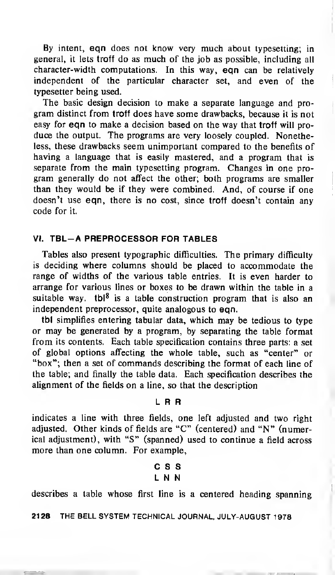By intent, eqn does not know very much about typesetting; in general, it lets troff do as much of the job as possible, including all character-width computations. In this way, eqn can be relatively independent of the particular character set, and even of the typesetter being used.

The basic design decision to make <sup>a</sup> separate language and program distinct from troff does have some drawbacks, because it is not easy for eqn to make <sup>a</sup> decision based on the way that troff will produce the output. The programs are very loosely coupled. Nonetheless, these drawbacks seem unimportant compared to the benefits of having a language that is easily mastered, and a program that is separate from the main typesetting program. Changes in one pro gram generally do not affect the other; both programs are smaller than they would be if they were combined. And, of course if one doesn't use eqn, there is no cost, since troff doesn't contain any code for it.

## VI. TBL-A PREPROCESSOR FOR TABLES

Tables also present typographic difficulties. The primary difficulty is deciding where columns should be placed to accommodate the range of widths of the various table entries. It is even harder to arrange for various lines or boxes to be drawn within the table in a suitable way. tbl<sup>8</sup> is a table construction program that is also an independent preprocessor, quite analogous to eqn.

tbl simplifies entering tabular data, which may be tedious to type or may be generated by <sup>a</sup> program, by separating the table format from its contents. Each table specification contains three parts: a set of global options affecting the whole table, such as "center" or "box"; then <sup>a</sup> set of commands describing the format of each line of the table; and finally the table data. Each specification describes the alignment of the fields on a line, so that the description

#### L R R

indicates a line with three fields, one left adjusted and two right adjusted. Other kinds of fields are "C" (centered) and "N" (numerical adjustment), with "S" (spanned) used to continue a field across more than one column. For example,

## CSS L N N

describes a table whose first line is a centered heading spanning

<sup>21</sup> 28 THE BELL SYSTEM TECHNICAL JOURNAL, JULY-AUGUST <sup>1</sup> 978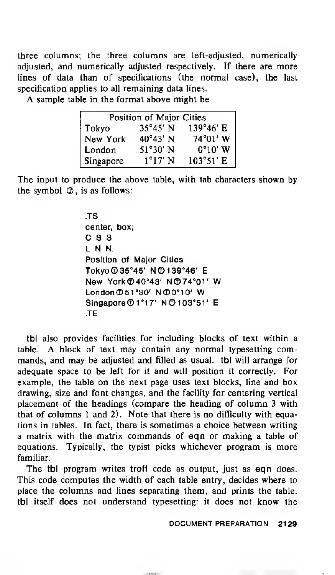three columns; the three columns are left-adjusted, numerically adjusted, and numerically adjusted respectively. If there are more lines of data than of specifications (the normal case), the last specification applies to all remaining data lines.

A sample table in the format above might be

| Position of Major Cities |                   |           |  |  |  |
|--------------------------|-------------------|-----------|--|--|--|
| Tokyo                    | 35°45' N          | 139°46' E |  |  |  |
| New York                 | $40^{\circ}43'$ N | 74°01' W  |  |  |  |
| London                   | 51°30′N           | $0°10'$ W |  |  |  |
| Singapore                | $1^{\circ}17'$ N  | 103°51' E |  |  |  |

The input to produce the above table, with tab characters shown by the symbol  $\mathcal{D}$ , is as follows:

> TS center, box; CSS L N N. Position of Major Cities Tokyo ©35°45' N©139°46' E New York©40°43' N©74°01' W London © <sup>51</sup> °30' N©0°10' W Singapore© 1°1 7' N©103°51' E TE

tbl also provides facilities for including blocks of text within a table. A block of text may contain any normal typesetting commands, and may be adjusted and filled as usual, tbl will arrange for adequate space to be left for it and will position it correctly. For example, the table on the next page uses text blocks, line and box drawing, size and font changes, and the facility for centering vertical placement of the headings (compare the heading of column 3 with that of columns <sup>1</sup> and 2). Note that there is no difficulty with equations in tables. In fact, there is sometimes a choice between writing a matrix with the matrix commands of eqn or making <sup>a</sup> table of equations. Typically, the typist picks whichever program is more familiar.

The tbl program writes troff code as output, just as eqn does. This code computes the width of each table entry, decides where to place the columns and lines separating them, and prints the table, tbl itself does not understand typesetting: it does not know the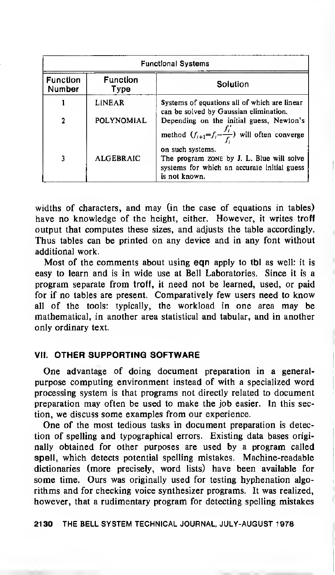| <b>Functional Systems</b>        |                  |                                                                                                                               |  |  |  |  |
|----------------------------------|------------------|-------------------------------------------------------------------------------------------------------------------------------|--|--|--|--|
| <b>Function</b><br><b>Number</b> | Function<br>Type | Solution                                                                                                                      |  |  |  |  |
|                                  | <b>LINEAR</b>    | Systems of equations all of which are linear<br>can be solved by Gaussian elimination.                                        |  |  |  |  |
| $\mathbf{c}$                     | POLYNOMIAL       | Depending on the initial guess, Newton's<br>method $(f_{i+1} = f_i - \frac{f_i}{f_i})$ will often converge                    |  |  |  |  |
|                                  | <b>ALGEBRAIC</b> | on such systems.<br>The program zone by J. L. Blue will solve<br>systems for which an accurate initial guess<br>is not known. |  |  |  |  |

widths of characters, and may (in the case of equations in tables) have no knowledge of the height, either. However, it writes troff output that computes these sizes, and adjusts the table accordingly. Thus tables can be printed on any device and in any font without additional work.

Most of the comments about using eqn apply to tbl as well: it is easy to learn and is in wide use at Bell Laboratories. Since it is a program separate from troff, it need not be learned, used, or paid for if no tables are present. Comparatively few users need to know all of the tools: typically, the workload in one area may be mathematical, in another area statistical and tabular, and in another only ordinary text.

## VII. OTHER SUPPORTING SOFTWARE

One advantage of doing document preparation in a generalpurpose computing environment instead of with a specialized word processing system is that programs not directly related to document preparation may often be used to make the job easier. In this section, we discuss some examples from our experience.

One of the most tedious tasks in document preparation is detection of spelling and typographical errors. Existing data bases originally obtained for other purposes are used by a program called spell, which detects potential spelling mistakes. Machine-readable dictionaries (more precisely, word lists) have been available for some time. Ours was originally used for testing hyphenation algorithms and for checking voice synthesizer programs. It was realized, however, that a rudimentary program for detecting spelling mistakes

2130 THE BELL SYSTEM TECHNICAL JOURNAL, JULY-AUGUST <sup>1</sup>978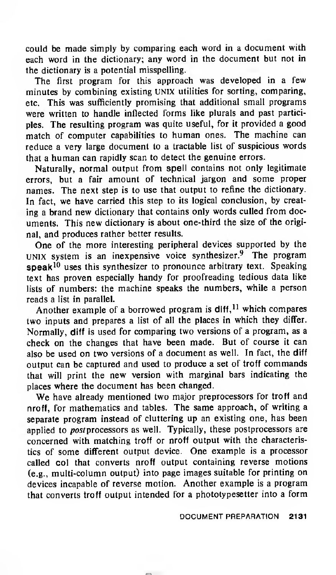could be made simply by comparing each word in <sup>a</sup> document with each word in the dictionary; any word in the document but not in the dictionary is a potential misspelling.

The first program for this approach was developed in <sup>a</sup> few minutes by combining existing UNIX utilities for sorting, comparing, etc. This was sufficiently promising that additional small programs were written to handle inflected forms like plurals and past participles. The resulting program was quite useful, for it provided <sup>a</sup> good match of computer capabilities to human ones. The machine can reduce <sup>a</sup> very large document to <sup>a</sup> tractable list of suspicious words that <sup>a</sup> human can rapidly scan to detect the genuine errors.

Naturally, normal output from spell contains not only legitimate errors, but <sup>a</sup> fair amount of technical jargon and some proper names. The next step is to use that output to refine the dictionary. In fact, we have carried this step to its logical conclusion, by creating a brand new dictionary that contains only words culled from documents. This new dictionary is about one-third the size of the original, and produces rather better results.

One of the more interesting peripheral devices supported by the UNIX system is an inexpensive voice synthesizer. $9$  The program speak<sup>10</sup> uses this synthesizer to pronounce arbitrary text. Speaking text has proven especially handy for proofreading tedious data like lists of numbers: the machine speaks the numbers, while a person reads a list in parallel.

Another example of a borrowed program is  $d$ lff, <sup>11</sup> which compares two inputs and prepares a list of all the places in which they differ. Normally, diff is used for comparing two versions of <sup>a</sup> program, as <sup>a</sup> check on the changes that have been made. But of course it can also be used on two versions of <sup>a</sup> document as well. In fact, the diff output can be captured and used to produce <sup>a</sup> set of troff commands that will print the new version with marginal bars indicating the places where the document has been changed.

We have already mentioned two major preprocessors for troff and nroff, for mathematics and tables. The same approach, of writing a separate program instead of cluttering up an existing one, has been applied to *post* processors as well. Typically, these postprocessors are concerned with matching troff or nroff output with the characteristics of some different output device. One example is a processor called col that converts nroff output containing reverse motions (e.g., multi-column output) into page images suitable for printing on devices incapable of reverse motion. Another example is a program that converts troff output intended for <sup>a</sup> phototypesetter into <sup>a</sup> form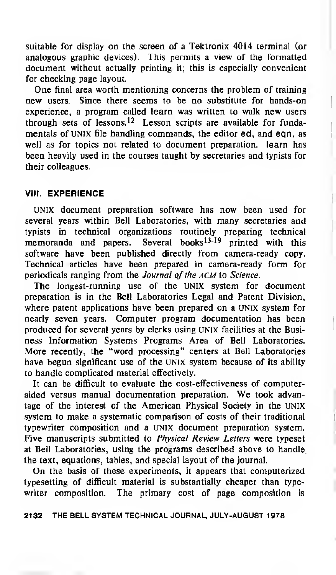suitable for display on the screen of a Tektronix 4014 terminal (or analogous graphic devices). This permits a view of the formatted document without actually printing it; this is especially convenient for checking page layout.

One final area worth mentioning concerns the problem of training new users. Since there seems to be no substitute for hands-on experience, <sup>a</sup> program called learn was written to walk new users through sets of lessons.<sup>12</sup> Lesson scripts are available for fundamentals of UNIX file handling commands, the editor ed, and eqn, as well as for topics not related to document preparation, learn has been heavily used in the courses taught by secretaries and typists for their colleagues.

## VIII. EXPERIENCE

UNIX document preparation software has now been used for several years within Bell Laboratories, with many secretaries and typists in technical organizations routinely preparing technical memoranda and papers. Several books<sup>13-19</sup> printed with this software have been published directly from camera-ready copy. Technical articles have been prepared in camera-ready form for periodicals ranging from the Journal of the ACM to Science.

The longest-running use of the UNIX system for document preparation is in the Bell Laboratories Legal and Patent Division, where patent applications have been prepared on a UNIX system for nearly seven years. Computer program documentation has been produced for several years by clerks using UNIX facilities at the Business Information Systems Programs Area of Bell Laboratories. More recently, the "word processing" centers at Bell Laboratories have begun significant use of the UNIX system because of its ability to handle complicated material effectively.

It can be difficult to evaluate the cost-effectiveness of computeraided versus manual documentation preparation. We took advantage of the interest of the American Physical Society in the UNIX system to make <sup>a</sup> systematic comparison of costs of their traditional typewriter composition and a UNIX document preparation system. Five manuscripts submitted to Physical Review Letters were typeset at Bell Laboratories, using the programs described above to handle the text, equations, tables, and special layout of the journal.

On the basis of these experiments, it appears that computerized typesetting of difficult material is substantially cheaper than typewriter composition. The primary cost of page composition is

#### 2132 THE BELL SYSTEM TECHNICAL JOURNAL, JULY-AUGUST <sup>1</sup> 978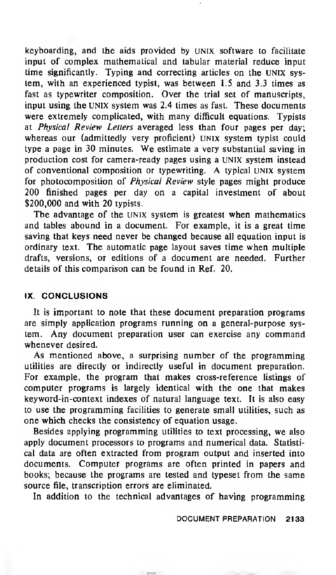keyboarding, and the aids provided by UNIX software to facilitate input of complex mathematical and tabular material reduce input time significantly. Typing and correcting articles on the UNIX system, with an experienced typist, was between 1.5 and 3.3 times as fast as typewriter composition. Over the trial set of manuscripts, input using the UNIX system was 2.4 times as fast. These documents were extremely complicated, with many difficult equations. Typists at Physical Review Letters averaged less than four pages per day; whereas our (admittedly very proficient) UNIX system typist could type <sup>a</sup> page in <sup>30</sup> minutes. We estimate <sup>a</sup> very substantial saving in production cost for camera-ready pages using a UNIX system instead of conventional composition or typewriting. A typical UNIX system for photocomposition of Physical Review style pages might produce 200 finished pages per day on a capital investment of about \$200,000 and with 20 typists.

The advantage of the UNIX system is greatest when mathematics and tables abound in a document. For example, it is a great time saving that keys need never be changed because all equation input is ordinary text. The automatic page layout saves time when multiple drafts, versions, or editions of a document are needed. Further details of this comparison can be found in Ref. 20.

## IX. CONCLUSIONS

It is important to note that these document preparation programs are simply application programs running on a general-purpose system. Any document preparation user can exercise any command whenever desired.

As mentioned above, <sup>a</sup> surprising number of the programming utilities are directly or indirectly useful in document preparation. For example, the program that makes cross-reference listings of computer programs is largely identical with the one that makes keyword-in-context indexes of natural language text. It is also easy to use the programming facilities to generate small utilities, such as one which checks the consistency of equation usage.

Besides applying programming utilities to text processing, we also apply document processors to programs and numerical data. Statistical data are often extracted from program output and inserted into documents. Computer programs are often printed in papers and books; because the programs are tested and typeset from the same source file, transcription errors are eliminated.

In addition to the technical advantages of having programming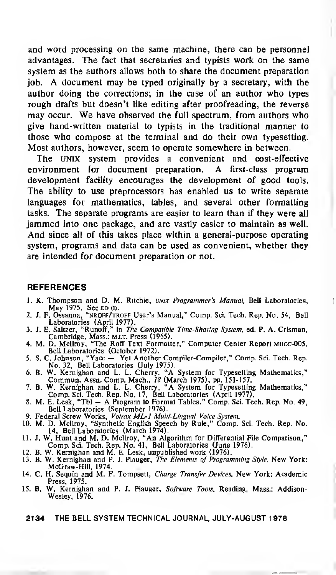and word processing on the same machine, there can be personnel advantages. The fact that secretaries and typists work on the same system as the authors allows both to share the document preparation job. A document may be typed originally by <sup>a</sup> secretary, with the author doing the corrections; in the case of an author who types rough drafts but doesn't like editing after proofreading, the reverse may occur. We have observed the full spectrum, from authors who give hand-written material to typists in the traditional manner to those who compose at the terminal and do their own typesetting. Most authors, however, seem to operate somewhere in between.

The UNIX system provides <sup>a</sup> convenient and cost-effective environment for document preparation. A first-class program development facility encourages the development of good tools. The ability to use preprocessors has enabled us to write separate languages for mathematics, tables, and several other formatting tasks. The separate programs are easier to learn than if they were all jammed into one package, and are vastly easier to maintain as well. And since all of this takes place within a general-purpose operating system, programs and data can be used as convenient, whether they are intended for document preparation or not.

#### **REFERENCES**

1. K. Thompson and D. M. Ritchie, UNIX Programmer's Manual, Bell Laboratories, May 1975. See ed (0. 2. J. F. Ossanna, "nroff/troff User's Manual," Comp. Sci. Tech. Rep. No. 54, Bell

ı

- 
- Laboratories (April 1977).<br>3. J. E. Saltzer, "Runoff," in *The Compatible Time-Sharing System*, ed. P. A. Crisman,<br>Cambridge, Mass.: M.I.T. Press (1965).<br>4. M. D. Mcllroy, "The Roff Text Formatter," Computer Center Report
- Bell Laboratories (October 1972). 5. S. C. Johnson, "Yacc Yet Another Compiler-Compiler," Comp. Sci. Tech. Rep.
- 
- No. 32, Bell Laboratories (July 1975).<br>6. B. W. Kernighan and L. L. Cherry, "A System for Typesetting Mathematics,"<br>Commun. Assn. Comp. Mach., 18 (March 1975), pp. 151-157.<br>7. B. W. Kernighan and L. L. Cherry, "A System fo
- 
- Comp. Sci. Tech. Rep. No. 17, Bell Laboratories (April 1977). 8. M. E. Lesk, "Tbl A Program to Format Tables," Comp. Sci. Tech. Rep. No. 49, Bell Laboratories (September 1976).
- 
- 9. Federal Screw Works, *Votrax ML-1 Multi-Lingual Voice System*.<br>10. M. D. Mcllroy, "Synthetic English Speech by Rule," Comp. Sci. Tech. Rep. No.<br>14, Bell Laboratories (March 1974).
- 11. J. W. Hunt and M. D. Mcliroy, "An Algorithm for Differential File Comparison,"<br>Comp. Sci. Tech. Rep. No. 41, Bell Laboratories (June 1976).<br>12. B. W. Kernighan and M. E. Lesk, unpublished work (1976).<br>13. B. W. Kernigh
- 
- McGraw-Hill, 1974.
- 14. C. H. Sequin and M. F. Tompsett, Charge Transfer Devices, New York: Academic Press, 1975.
- 15. B. W. Kernighan and P. J. Plauger, Software Tools, Reading, Mass.: Addison-Wesley, 1976.
	- 2134 THE BELL SYSTEM TECHNICAL JOURNAL, JULY-AUGUST <sup>1</sup> 978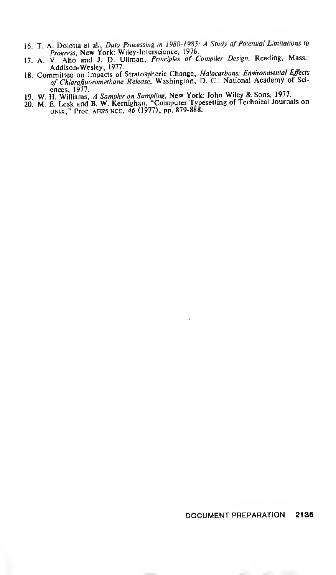- 16. T. A. Dolotta et al., *Data Processing in 1980-1985: A Study of Potential Limitations to*<br>Progress, New York: Wiley-Interscience, 1976.<br>17. A. V. Aho and J. D. Ullman, *Principles of Compiler Design*, Reading, Mass.:
- Addison-Wesley, 1977.
- 18. Committee on Impacts of Stratospheric Change, *Halocarbons: Environmental Effects*<br>of Chlorofluoromethane Release, Washington, D. C.: National Academy of Sci-
- 
- ences, 1977.<br>19. W. H. Williams, *A Sampler on Sampling*, New York: John Wiley & Sons, 1977.<br>20. M. E. Lesk and B. W. Kernighan, "Computer Typesetting of Technical Journals on<br>UNIX," Proc. AFIPS NCC, 46 (1977), pp. 879-888